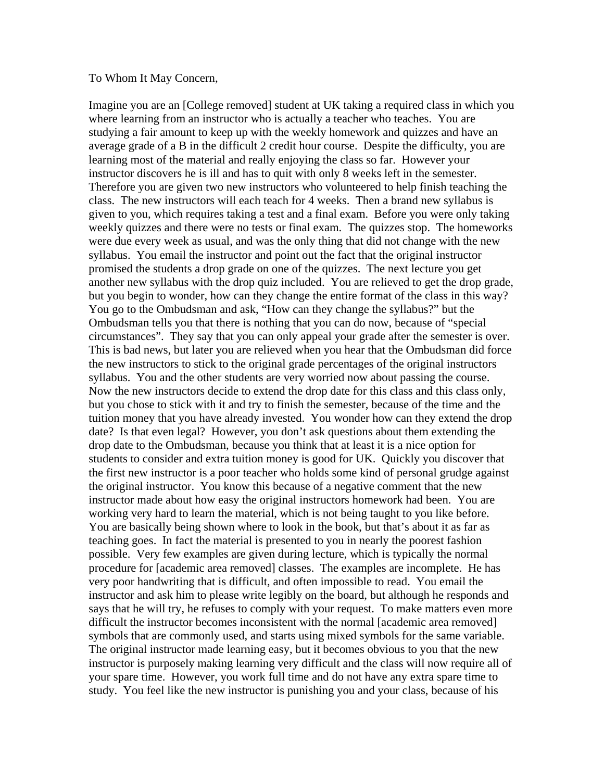## To Whom It May Concern,

Imagine you are an [College removed] student at UK taking a required class in which you where learning from an instructor who is actually a teacher who teaches. You are studying a fair amount to keep up with the weekly homework and quizzes and have an average grade of a B in the difficult 2 credit hour course. Despite the difficulty, you are learning most of the material and really enjoying the class so far. However your instructor discovers he is ill and has to quit with only 8 weeks left in the semester. Therefore you are given two new instructors who volunteered to help finish teaching the class. The new instructors will each teach for 4 weeks. Then a brand new syllabus is given to you, which requires taking a test and a final exam. Before you were only taking weekly quizzes and there were no tests or final exam. The quizzes stop. The homeworks were due every week as usual, and was the only thing that did not change with the new syllabus. You email the instructor and point out the fact that the original instructor promised the students a drop grade on one of the quizzes. The next lecture you get another new syllabus with the drop quiz included. You are relieved to get the drop grade, but you begin to wonder, how can they change the entire format of the class in this way? You go to the Ombudsman and ask, "How can they change the syllabus?" but the Ombudsman tells you that there is nothing that you can do now, because of "special circumstances". They say that you can only appeal your grade after the semester is over. This is bad news, but later you are relieved when you hear that the Ombudsman did force the new instructors to stick to the original grade percentages of the original instructors syllabus. You and the other students are very worried now about passing the course. Now the new instructors decide to extend the drop date for this class and this class only, but you chose to stick with it and try to finish the semester, because of the time and the tuition money that you have already invested. You wonder how can they extend the drop date? Is that even legal? However, you don't ask questions about them extending the drop date to the Ombudsman, because you think that at least it is a nice option for students to consider and extra tuition money is good for UK. Quickly you discover that the first new instructor is a poor teacher who holds some kind of personal grudge against the original instructor. You know this because of a negative comment that the new instructor made about how easy the original instructors homework had been. You are working very hard to learn the material, which is not being taught to you like before. You are basically being shown where to look in the book, but that's about it as far as teaching goes. In fact the material is presented to you in nearly the poorest fashion possible. Very few examples are given during lecture, which is typically the normal procedure for [academic area removed] classes. The examples are incomplete. He has very poor handwriting that is difficult, and often impossible to read. You email the instructor and ask him to please write legibly on the board, but although he responds and says that he will try, he refuses to comply with your request. To make matters even more difficult the instructor becomes inconsistent with the normal [academic area removed] symbols that are commonly used, and starts using mixed symbols for the same variable. The original instructor made learning easy, but it becomes obvious to you that the new instructor is purposely making learning very difficult and the class will now require all of your spare time. However, you work full time and do not have any extra spare time to study. You feel like the new instructor is punishing you and your class, because of his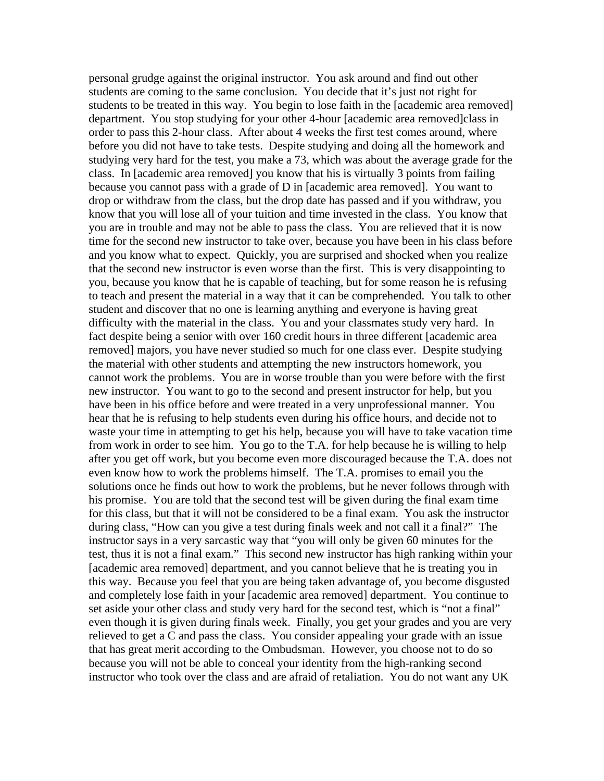personal grudge against the original instructor. You ask around and find out other students are coming to the same conclusion. You decide that it's just not right for students to be treated in this way. You begin to lose faith in the [academic area removed] department. You stop studying for your other 4-hour [academic area removed]class in order to pass this 2-hour class. After about 4 weeks the first test comes around, where before you did not have to take tests. Despite studying and doing all the homework and studying very hard for the test, you make a 73, which was about the average grade for the class. In [academic area removed] you know that his is virtually 3 points from failing because you cannot pass with a grade of D in [academic area removed]. You want to drop or withdraw from the class, but the drop date has passed and if you withdraw, you know that you will lose all of your tuition and time invested in the class. You know that you are in trouble and may not be able to pass the class. You are relieved that it is now time for the second new instructor to take over, because you have been in his class before and you know what to expect. Quickly, you are surprised and shocked when you realize that the second new instructor is even worse than the first. This is very disappointing to you, because you know that he is capable of teaching, but for some reason he is refusing to teach and present the material in a way that it can be comprehended. You talk to other student and discover that no one is learning anything and everyone is having great difficulty with the material in the class. You and your classmates study very hard. In fact despite being a senior with over 160 credit hours in three different [academic area removed] majors, you have never studied so much for one class ever. Despite studying the material with other students and attempting the new instructors homework, you cannot work the problems. You are in worse trouble than you were before with the first new instructor. You want to go to the second and present instructor for help, but you have been in his office before and were treated in a very unprofessional manner. You hear that he is refusing to help students even during his office hours, and decide not to waste your time in attempting to get his help, because you will have to take vacation time from work in order to see him. You go to the T.A. for help because he is willing to help after you get off work, but you become even more discouraged because the T.A. does not even know how to work the problems himself. The T.A. promises to email you the solutions once he finds out how to work the problems, but he never follows through with his promise. You are told that the second test will be given during the final exam time for this class, but that it will not be considered to be a final exam. You ask the instructor during class, "How can you give a test during finals week and not call it a final?" The instructor says in a very sarcastic way that "you will only be given 60 minutes for the test, thus it is not a final exam." This second new instructor has high ranking within your [academic area removed] department, and you cannot believe that he is treating you in this way. Because you feel that you are being taken advantage of, you become disgusted and completely lose faith in your [academic area removed] department. You continue to set aside your other class and study very hard for the second test, which is "not a final" even though it is given during finals week. Finally, you get your grades and you are very relieved to get a C and pass the class. You consider appealing your grade with an issue that has great merit according to the Ombudsman. However, you choose not to do so because you will not be able to conceal your identity from the high-ranking second instructor who took over the class and are afraid of retaliation. You do not want any UK